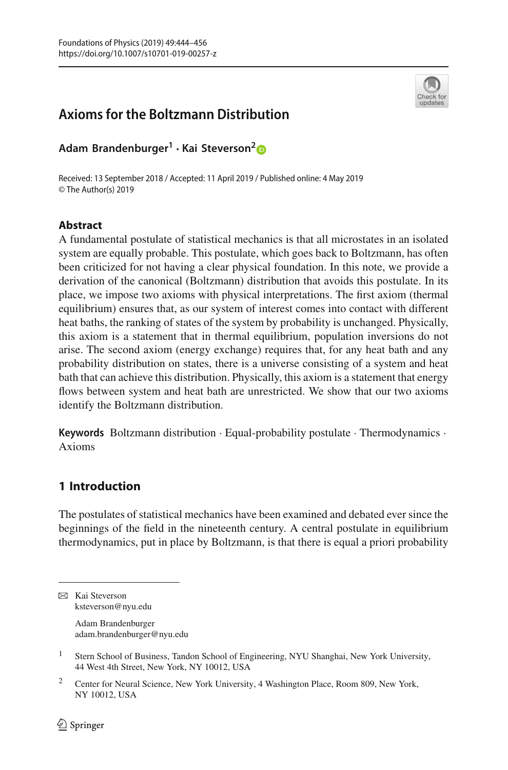

# **Axioms for the Boltzmann Distribution**

**Adam Brandenburger<sup>1</sup> · Kai Steverson[2](http://orcid.org/0000-0002-2181-6768)**

Received: 13 September 2018 / Accepted: 11 April 2019 / Published online: 4 May 2019 © The Author(s) 2019

### **Abstract**

A fundamental postulate of statistical mechanics is that all microstates in an isolated system are equally probable. This postulate, which goes back to Boltzmann, has often been criticized for not having a clear physical foundation. In this note, we provide a derivation of the canonical (Boltzmann) distribution that avoids this postulate. In its place, we impose two axioms with physical interpretations. The first axiom (thermal equilibrium) ensures that, as our system of interest comes into contact with different heat baths, the ranking of states of the system by probability is unchanged. Physically, this axiom is a statement that in thermal equilibrium, population inversions do not arise. The second axiom (energy exchange) requires that, for any heat bath and any probability distribution on states, there is a universe consisting of a system and heat bath that can achieve this distribution. Physically, this axiom is a statement that energy flows between system and heat bath are unrestricted. We show that our two axioms identify the Boltzmann distribution.

**Keywords** Boltzmann distribution · Equal-probability postulate · Thermodynamics · Axioms

# **1 Introduction**

The postulates of statistical mechanics have been examined and debated ever since the beginnings of the field in the nineteenth century. A central postulate in equilibrium thermodynamics, put in place by Boltzmann, is that there is equal a priori probability

Adam Brandenburger adam.brandenburger@nyu.edu

 $\boxtimes$  Kai Steverson ksteverson@nyu.edu

<sup>&</sup>lt;sup>1</sup> Stern School of Business, Tandon School of Engineering, NYU Shanghai, New York University, 44 West 4th Street, New York, NY 10012, USA

<sup>2</sup> Center for Neural Science, New York University, 4 Washington Place, Room 809, New York, NY 10012, USA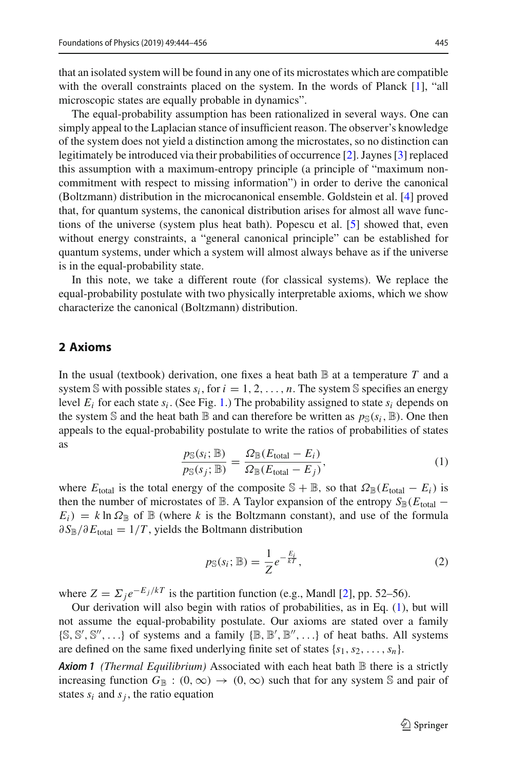that an isolated system will be found in any one of its microstates which are compatible with the overall constraints placed on the system. In the words of Planck [\[1](#page-12-0)], "all microscopic states are equally probable in dynamics".

The equal-probability assumption has been rationalized in several ways. One can simply appeal to the Laplacian stance of insufficient reason. The observer's knowledge of the system does not yield a distinction among the microstates, so no distinction can legitimately be introduced via their probabilities of occurrence [\[2\]](#page-12-1). Jaynes [\[3](#page-12-2)] replaced this assumption with a maximum-entropy principle (a principle of "maximum noncommitment with respect to missing information") in order to derive the canonical (Boltzmann) distribution in the microcanonical ensemble. Goldstein et al. [\[4\]](#page-12-3) proved that, for quantum systems, the canonical distribution arises for almost all wave functions of the universe (system plus heat bath). Popescu et al. [\[5](#page-12-4)] showed that, even without energy constraints, a "general canonical principle" can be established for quantum systems, under which a system will almost always behave as if the universe is in the equal-probability state.

In this note, we take a different route (for classical systems). We replace the equal-probability postulate with two physically interpretable axioms, which we show characterize the canonical (Boltzmann) distribution.

#### **2 Axioms**

In the usual (textbook) derivation, one fixes a heat bath  $\mathbb B$  at a temperature  $T$  and a system  $\mathbb S$  with possible states  $s_i$ , for  $i = 1, 2, \ldots, n$ . The system  $\mathbb S$  specifies an energy level  $E_i$  for each state  $s_i$ . (See Fig. [1.](#page-2-0)) The probability assigned to state  $s_i$  depends on the system S and the heat bath  $\mathbb B$  and can therefore be written as  $p_{\mathbb S}(s_i,\mathbb B)$ . One then appeals to the equal-probability postulate to write the ratios of probabilities of states as

<span id="page-1-0"></span>
$$
\frac{p_{\mathbb{S}}(s_i; \mathbb{B})}{p_{\mathbb{S}}(s_j; \mathbb{B})} = \frac{\Omega_{\mathbb{B}}(E_{\text{total}} - E_i)}{\Omega_{\mathbb{B}}(E_{\text{total}} - E_j)},
$$
\n(1)

where  $E_{\text{total}}$  is the total energy of the composite  $\mathbb{S} + \mathbb{B}$ , so that  $\Omega_{\mathbb{B}}(E_{\text{total}} - E_i)$  is then the number of microstates of B. A Taylor expansion of the entropy  $S_{\mathbb{B}}(E_{\text{total}} E_i$ ) =  $k \ln \Omega_{\mathbb{B}}$  of  $\mathbb{B}$  (where k is the Boltzmann constant), and use of the formula  $\partial S_{\mathbb{B}}/\partial E_{\text{total}} = 1/T$ , yields the Boltmann distribution

<span id="page-1-2"></span><span id="page-1-1"></span>
$$
p_{\mathbb{S}}(s_i; \mathbb{B}) = \frac{1}{Z} e^{-\frac{E_i}{kT}},
$$
\n<sup>(2)</sup>

where  $Z = \sum_j e^{-E_j/kT}$  is the partition function (e.g., Mandl [\[2\]](#page-12-1), pp. 52–56).

Our derivation will also begin with ratios of probabilities, as in Eq. [\(1\)](#page-1-0), but will not assume the equal-probability postulate. Our axioms are stated over a family  $\{\mathbb S,\mathbb S',\mathbb S'',\ldots\}$  of systems and a family  $\{\mathbb B,\mathbb B',\mathbb B'',\ldots\}$  of heat baths. All systems are defined on the same fixed underlying finite set of states  $\{s_1, s_2, \ldots, s_n\}$ .

*Axiom 1 (Thermal Equilibrium)* Associated with each heat bath B there is a strictly increasing function  $G_{\mathbb{B}}$  :  $(0,\infty) \to (0,\infty)$  such that for any system S and pair of states  $s_i$  and  $s_j$ , the ratio equation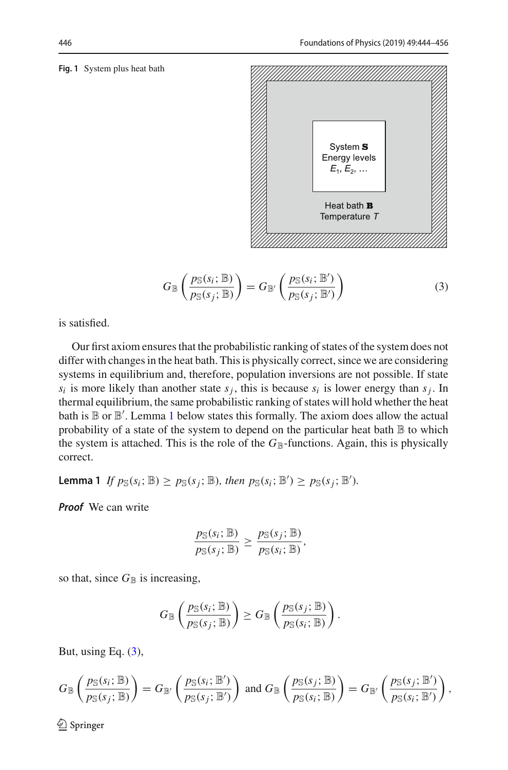#### <span id="page-2-0"></span>**Fig. 1** System plus heat bath



<span id="page-2-2"></span>
$$
G_{\mathbb{B}}\left(\frac{p_{\mathbb{S}}(s_i; \mathbb{B})}{p_{\mathbb{S}}(s_j; \mathbb{B})}\right) = G_{\mathbb{B}'}\left(\frac{p_{\mathbb{S}}(s_i; \mathbb{B}')}{p_{\mathbb{S}}(s_j; \mathbb{B}')}\right)
$$
(3)

is satisfied.

Our first axiom ensures that the probabilistic ranking of states of the system does not differ with changes in the heat bath. This is physically correct, since we are considering systems in equilibrium and, therefore, population inversions are not possible. If state  $s_i$  is more likely than another state  $s_j$ , this is because  $s_i$  is lower energy than  $s_j$ . In thermal equilibrium, the same probabilistic ranking of states will hold whether the heat bath is  $\mathbb B$  or  $\mathbb B'$ . Lemma [1](#page-2-1) below states this formally. The axiom does allow the actual probability of a state of the system to depend on the particular heat bath  $\mathbb B$  to which the system is attached. This is the role of the  $G_{\mathbb{B}}$ -functions. Again, this is physically correct.

<span id="page-2-1"></span>**Lemma 1** *If*  $p_{\mathbb{S}}(s_i; \mathbb{B}) \ge p_{\mathbb{S}}(s_j; \mathbb{B})$ *, then*  $p_{\mathbb{S}}(s_i; \mathbb{B}') \ge p_{\mathbb{S}}(s_j; \mathbb{B}')$ *.* 

*Proof* We can write

$$
\frac{p_{\mathbb{S}}(s_i; \mathbb{B})}{p_{\mathbb{S}}(s_j; \mathbb{B})} \geq \frac{p_{\mathbb{S}}(s_j; \mathbb{B})}{p_{\mathbb{S}}(s_i; \mathbb{B})},
$$

so that, since  $G_{\mathbb{B}}$  is increasing,

$$
G_{\mathbb{B}}\left(\frac{p_{\mathbb{S}}(s_i; \mathbb{B})}{p_{\mathbb{S}}(s_j; \mathbb{B})}\right) \geq G_{\mathbb{B}}\left(\frac{p_{\mathbb{S}}(s_j; \mathbb{B})}{p_{\mathbb{S}}(s_i; \mathbb{B})}\right).
$$

But, using Eq.  $(3)$ ,

$$
G_{\mathbb{B}}\left(\frac{p_{\mathbb{S}}(s_i; \mathbb{B})}{p_{\mathbb{S}}(s_j; \mathbb{B})}\right) = G_{\mathbb{B}'}\left(\frac{p_{\mathbb{S}}(s_i; \mathbb{B}')}{p_{\mathbb{S}}(s_j; \mathbb{B}')}\right) \text{ and } G_{\mathbb{B}}\left(\frac{p_{\mathbb{S}}(s_j; \mathbb{B})}{p_{\mathbb{S}}(s_i; \mathbb{B})}\right) = G_{\mathbb{B}'}\left(\frac{p_{\mathbb{S}}(s_j; \mathbb{B}')}{p_{\mathbb{S}}(s_i; \mathbb{B}')}\right),
$$

 $\textcircled{2}$  Springer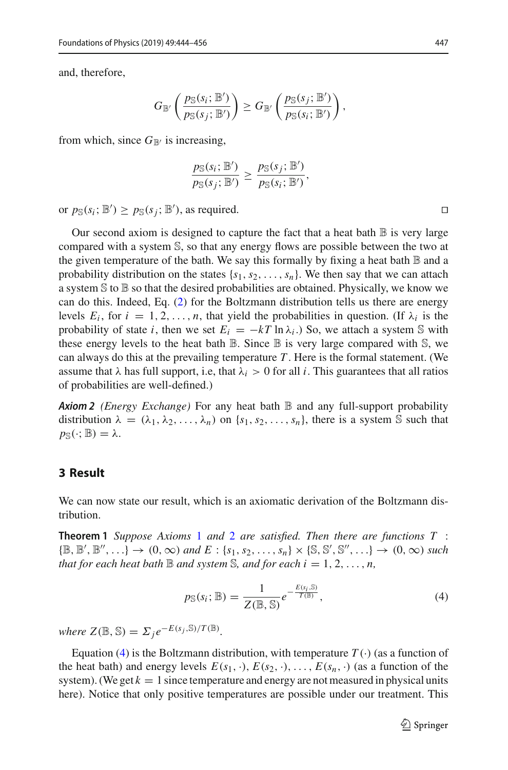and, therefore,

$$
G_{\mathbb{B}'}\left(\frac{p_{\mathbb{S}}(s_i; \mathbb{B}')}{p_{\mathbb{S}}(s_j; \mathbb{B}')}\right) \geq G_{\mathbb{B}'}\left(\frac{p_{\mathbb{S}}(s_j; \mathbb{B}')}{p_{\mathbb{S}}(s_i; \mathbb{B}')}\right),\,
$$

from which, since  $G_{\mathbb{B}}$  is increasing,

$$
\frac{p_{\mathbb{S}}(s_i; \mathbb{B}')}{p_{\mathbb{S}}(s_j; \mathbb{B}')}\geq \frac{p_{\mathbb{S}}(s_j; \mathbb{B}')}{p_{\mathbb{S}}(s_i; \mathbb{B}')},
$$

or  $p_{\mathbb{S}}(s_i; \mathbb{B}') \geq p_{\mathbb{S}}(s_j; \mathbb{B}')$ , as required.

Our second axiom is designed to capture the fact that a heat bath  $\mathbb B$  is very large compared with a system S, so that any energy flows are possible between the two at the given temperature of the bath. We say this formally by fixing a heat bath  $\mathbb B$  and a probability distribution on the states  $\{s_1, s_2, \ldots, s_n\}$ . We then say that we can attach a system  $\mathcal S$  to  $\mathbb B$  so that the desired probabilities are obtained. Physically, we know we can do this. Indeed, Eq. [\(2\)](#page-1-1) for the Boltzmann distribution tells us there are energy levels  $E_i$ , for  $i = 1, 2, \ldots, n$ , that yield the probabilities in question. (If  $\lambda_i$  is the probability of state *i*, then we set  $E_i = -kT \ln \lambda_i$ .) So, we attach a system S with these energy levels to the heat bath  $\mathbb B$ . Since  $\mathbb B$  is very large compared with  $\mathbb S$ , we can always do this at the prevailing temperature *T* . Here is the formal statement. (We assume that  $\lambda$  has full support, i.e, that  $\lambda_i > 0$  for all *i*. This guarantees that all ratios of probabilities are well-defined.)

<span id="page-3-0"></span>*Axiom 2 (Energy Exchange)* For any heat bath B and any full-support probability distribution  $\lambda = (\lambda_1, \lambda_2, \ldots, \lambda_n)$  on  $\{s_1, s_2, \ldots, s_n\}$ , there is a system S such that  $p_{\mathbb{S}}(\cdot;\mathbb{B}) = \lambda.$ 

#### **3 Result**

<span id="page-3-2"></span>We can now state our result, which is an axiomatic derivation of the Boltzmann distribution.

**Theorem 1** *Suppose Axioms* [1](#page-1-2) *and* [2](#page-3-0) *are satisfied. Then there are functions T* :  $\{\mathbb{B}, \mathbb{B}', \mathbb{B}'', \ldots\} \to (0, \infty) \text{ and } E: \{s_1, s_2, \ldots, s_n\} \times \{\mathbb{S}, \mathbb{S}', \mathbb{S}'', \ldots\} \to (0, \infty) \text{ such}$ *that for each heat bath*  $\mathbb B$  *and system*  $\mathbb S$ *, and for each i* = 1, 2, ..., *n*,

<span id="page-3-1"></span>
$$
p_{\mathbb{S}}(s_i; \mathbb{B}) = \frac{1}{Z(\mathbb{B}, \mathbb{S})} e^{-\frac{E(s_i, \mathbb{S})}{T(\mathbb{B})}},
$$
(4)

 $where Z(\mathbb{B}, \mathbb{S}) = \sum_j e^{-E(s_j, \mathbb{S})/T(\mathbb{B})}.$ 

Equation [\(4\)](#page-3-1) is the Boltzmann distribution, with temperature  $T(\cdot)$  (as a function of the heat bath) and energy levels  $E(s_1, \cdot), E(s_2, \cdot), \ldots, E(s_n, \cdot)$  (as a function of the system). (We get  $k = 1$  since temperature and energy are not measured in physical units here). Notice that only positive temperatures are possible under our treatment. This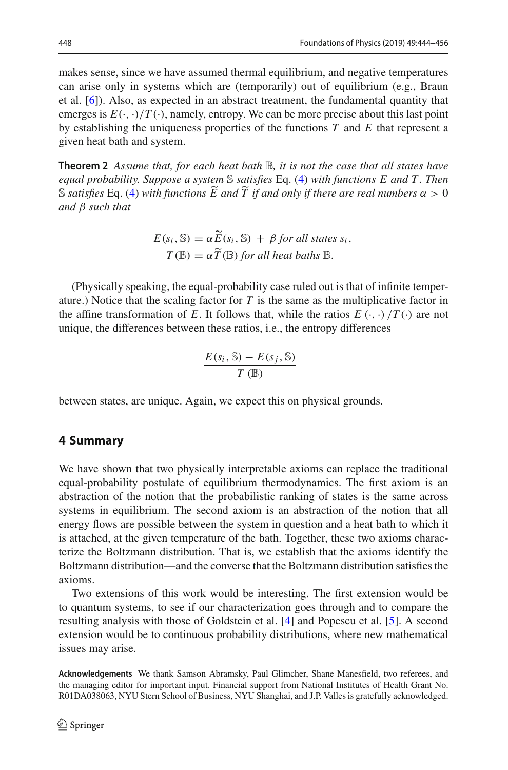makes sense, since we have assumed thermal equilibrium, and negative temperatures can arise only in systems which are (temporarily) out of equilibrium (e.g., Braun et al. [\[6](#page-12-5)]). Also, as expected in an abstract treatment, the fundamental quantity that emerges is  $E(\cdot, \cdot)/T(\cdot)$ , namely, entropy. We can be more precise about this last point by establishing the uniqueness properties of the functions *T* and *E* that represent a given heat bath and system.

**Theorem 2** *Assume that, for each heat bath* B*, it is not the case that all states have equal probability. Suppose a system* S *satisfies* Eq. [\(4\)](#page-3-1) *with functions E and T . Then* S satisfies Eq. [\(4\)](#page-3-1) with functions  $\tilde{E}$  and  $\tilde{T}$  if and only if there are real numbers  $\alpha > 0$ *and* β *such that*

<span id="page-4-0"></span>
$$
E(s_i, \mathbb{S}) = \alpha \widetilde{E}(s_i, \mathbb{S}) + \beta \text{ for all states } s_i,
$$
  

$$
T(\mathbb{B}) = \alpha \widetilde{T}(\mathbb{B}) \text{ for all heat baths } \mathbb{B}.
$$

(Physically speaking, the equal-probability case ruled out is that of infinite temperature.) Notice that the scaling factor for  $T$  is the same as the multiplicative factor in the affine transformation of *E*. It follows that, while the ratios  $E(\cdot, \cdot)/T(\cdot)$  are not unique, the differences between these ratios, i.e., the entropy differences

$$
\frac{E(s_i, \mathbb{S}) - E(s_j, \mathbb{S})}{T(\mathbb{B})}
$$

between states, are unique. Again, we expect this on physical grounds.

#### **4 Summary**

We have shown that two physically interpretable axioms can replace the traditional equal-probability postulate of equilibrium thermodynamics. The first axiom is an abstraction of the notion that the probabilistic ranking of states is the same across systems in equilibrium. The second axiom is an abstraction of the notion that all energy flows are possible between the system in question and a heat bath to which it is attached, at the given temperature of the bath. Together, these two axioms characterize the Boltzmann distribution. That is, we establish that the axioms identify the Boltzmann distribution—and the converse that the Boltzmann distribution satisfies the axioms.

Two extensions of this work would be interesting. The first extension would be to quantum systems, to see if our characterization goes through and to compare the resulting analysis with those of Goldstein et al. [\[4](#page-12-3)] and Popescu et al. [\[5\]](#page-12-4). A second extension would be to continuous probability distributions, where new mathematical issues may arise.

**Acknowledgements** We thank Samson Abramsky, Paul Glimcher, Shane Manesfield, two referees, and the managing editor for important input. Financial support from National Institutes of Health Grant No. R01DA038063, NYU Stern School of Business, NYU Shanghai, and J.P. Valles is gratefully acknowledged.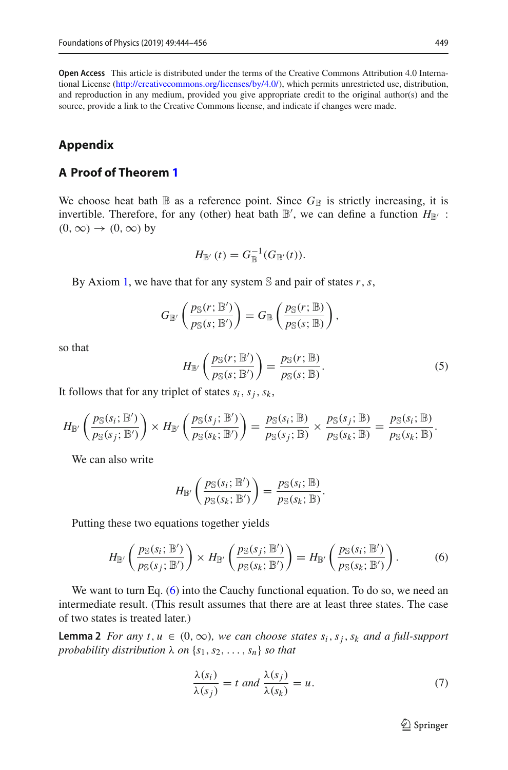**Open Access** This article is distributed under the terms of the Creative Commons Attribution 4.0 International License [\(http://creativecommons.org/licenses/by/4.0/\)](http://creativecommons.org/licenses/by/4.0/), which permits unrestricted use, distribution, and reproduction in any medium, provided you give appropriate credit to the original author(s) and the source, provide a link to the Creative Commons license, and indicate if changes were made.

### **Appendix**

#### <span id="page-5-3"></span>**A Proof of Theorem [1](#page-3-2)**

We choose heat bath  $\mathbb B$  as a reference point. Since  $G_{\mathbb B}$  is strictly increasing, it is invertible. Therefore, for any (other) heat bath  $\mathbb{B}'$ , we can define a function  $H_{\mathbb{B}'}$ :  $(0, \infty) \rightarrow (0, \infty)$  by

$$
H_{\mathbb{B}'}(t) = G_{\mathbb{B}}^{-1}(G_{\mathbb{B}'}(t)).
$$

By Axiom [1,](#page-1-2) we have that for any system S and pair of states *r*,*s*,

$$
G_{\mathbb{B}'}\left(\frac{p_{\mathbb{S}}(r;\mathbb{B}')}{p_{\mathbb{S}}(s;\mathbb{B}')}\right) = G_{\mathbb{B}}\left(\frac{p_{\mathbb{S}}(r;\mathbb{B})}{p_{\mathbb{S}}(s;\mathbb{B})}\right),\,
$$

so that

<span id="page-5-2"></span>
$$
H_{\mathbb{B}'}\left(\frac{p_{\mathbb{S}}(r;\mathbb{B}')}{p_{\mathbb{S}}(s;\mathbb{B}')}\right) = \frac{p_{\mathbb{S}}(r;\mathbb{B})}{p_{\mathbb{S}}(s;\mathbb{B})}.
$$
 (5)

It follows that for any triplet of states  $s_i$ ,  $s_j$ ,  $s_k$ ,

$$
H_{\mathbb{B}'}\left(\frac{p_{\mathbb{S}}(s_i;\mathbb{B}')}{p_{\mathbb{S}}(s_j;\mathbb{B}')}\right)\times H_{\mathbb{B}'}\left(\frac{p_{\mathbb{S}}(s_j;\mathbb{B}')}{p_{\mathbb{S}}(s_k;\mathbb{B}')}\right)=\frac{p_{\mathbb{S}}(s_i;\mathbb{B})}{p_{\mathbb{S}}(s_j;\mathbb{B})}\times\frac{p_{\mathbb{S}}(s_j;\mathbb{B})}{p_{\mathbb{S}}(s_k;\mathbb{B})}=\frac{p_{\mathbb{S}}(s_i;\mathbb{B})}{p_{\mathbb{S}}(s_k;\mathbb{B})}.
$$

We can also write

$$
H_{\mathbb{B}'}\left(\frac{p_{\mathbb{S}}(s_i; \mathbb{B}')}{p_{\mathbb{S}}(s_k; \mathbb{B}')}\right) = \frac{p_{\mathbb{S}}(s_i; \mathbb{B})}{p_{\mathbb{S}}(s_k; \mathbb{B})}.
$$

Putting these two equations together yields

<span id="page-5-0"></span>
$$
H_{\mathbb{B}'}\left(\frac{p_{\mathbb{S}}(s_i; \mathbb{B}')}{p_{\mathbb{S}}(s_j; \mathbb{B}')}\right) \times H_{\mathbb{B}'}\left(\frac{p_{\mathbb{S}}(s_j; \mathbb{B}')}{p_{\mathbb{S}}(s_k; \mathbb{B}')}\right) = H_{\mathbb{B}'}\left(\frac{p_{\mathbb{S}}(s_i; \mathbb{B}')}{p_{\mathbb{S}}(s_k; \mathbb{B}')}\right). \tag{6}
$$

We want to turn Eq. [\(6\)](#page-5-0) into the Cauchy functional equation. To do so, we need an intermediate result. (This result assumes that there are at least three states. The case of two states is treated later.)

**Lemma 2** *For any t*,  $u \in (0, \infty)$ *, we can choose states s<sub>i</sub>, s<sub>j</sub>, s<sub>k</sub> and a full-support probability distribution*  $\lambda$  *on*  $\{s_1, s_2, \ldots, s_n\}$  *so that* 

<span id="page-5-1"></span>
$$
\frac{\lambda(s_i)}{\lambda(s_j)} = t \text{ and } \frac{\lambda(s_j)}{\lambda(s_k)} = u. \tag{7}
$$

 $\mathcal{D}$  Springer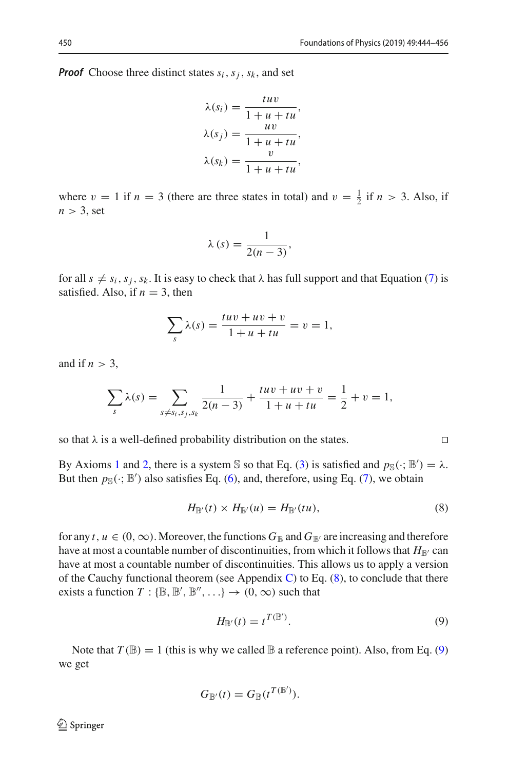*Proof* Choose three distinct states  $s_i$ ,  $s_j$ ,  $s_k$ , and set

$$
\lambda(s_i) = \frac{tuv}{1+u+tu},
$$
  

$$
\lambda(s_j) = \frac{uv}{1+u+tu},
$$
  

$$
\lambda(s_k) = \frac{v}{1+u+tu},
$$

where  $v = 1$  if  $n = 3$  (there are three states in total) and  $v = \frac{1}{2}$  if  $n > 3$ . Also, if  $n > 3$ , set

$$
\lambda(s) = \frac{1}{2(n-3)},
$$

for all  $s \neq s_i, s_j, s_k$ . It is easy to check that  $\lambda$  has full support and that Equation [\(7\)](#page-5-1) is satisfied. Also, if  $n = 3$ , then

$$
\sum_{s} \lambda(s) = \frac{tuv + uv + v}{1 + u + tu} = v = 1,
$$

and if  $n > 3$ ,

$$
\sum_{s} \lambda(s) = \sum_{s \neq s_i, s_j, s_k} \frac{1}{2(n-3)} + \frac{tuv + uv + v}{1 + u + tu} = \frac{1}{2} + v = 1,
$$

so that  $\lambda$  is a well-defined probability distribution on the states.

By Axioms [1](#page-1-2) and [2,](#page-3-0) there is a system S so that Eq. [\(3\)](#page-2-2) is satisfied and  $p_S(\cdot; B') = \lambda$ . But then  $p_{\mathbb{S}}(\cdot; \mathbb{B}')$  also satisfies Eq. [\(6\)](#page-5-0), and, therefore, using Eq. [\(7\)](#page-5-1), we obtain

<span id="page-6-0"></span>
$$
H_{\mathbb{B}'}(t) \times H_{\mathbb{B}'}(u) = H_{\mathbb{B}'}(tu), \tag{8}
$$

for any *t*,  $u \in (0, \infty)$ . Moreover, the functions  $G_{\mathbb{B}}$  and  $G_{\mathbb{B}'}$  are increasing and therefore have at most a countable number of discontinuities, from which it follows that  $H_{\mathbb{B}'}$  can have at most a countable number of discontinuities. This allows us to apply a version of the Cauchy functional theorem (see Appendix [C\)](#page-10-0) to Eq.  $(8)$ , to conclude that there exists a function  $T: \{\mathbb{B}, \mathbb{B}', \mathbb{B}'', \ldots\} \to (0, \infty)$  such that

<span id="page-6-1"></span>
$$
H_{\mathbb{B}'}(t) = t^{T(\mathbb{B}')}.
$$
\n(9)

Note that  $T(\mathbb{B}) = 1$  (this is why we called  $\mathbb{B}$  a reference point). Also, from Eq. [\(9\)](#page-6-1) we get

$$
G_{\mathbb{B}'}(t) = G_{\mathbb{B}}(t^{T(\mathbb{B}')}).
$$

 $\textcircled{2}$  Springer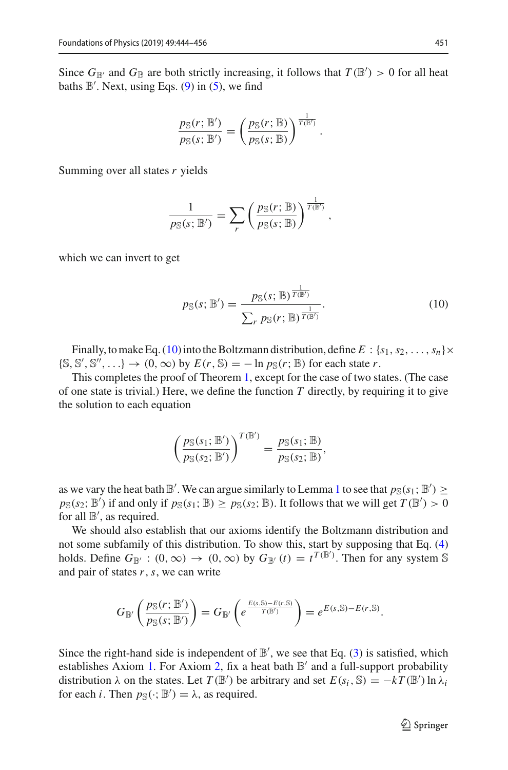Since  $G_{\mathbb{B}}$  and  $G_{\mathbb{B}}$  are both strictly increasing, it follows that  $T(\mathbb{B}') > 0$  for all heat baths  $\mathbb{B}'$ . Next, using Eqs. [\(9\)](#page-6-1) in [\(5\)](#page-5-2), we find

$$
\frac{p_{\mathbb{S}}(r;\mathbb{B}^{\prime})}{p_{\mathbb{S}}(s;\mathbb{B}^{\prime})} = \left(\frac{p_{\mathbb{S}}(r;\mathbb{B})}{p_{\mathbb{S}}(s;\mathbb{B})}\right)^{\frac{1}{T(\mathbb{B}^{\prime})}}.
$$

Summing over all states *r* yields

$$
\frac{1}{p_{\mathbb{S}}(s; \mathbb{B}^{\prime})} = \sum_{r} \left( \frac{p_{\mathbb{S}}(r; \mathbb{B})}{p_{\mathbb{S}}(s; \mathbb{B})} \right)^{\frac{1}{T(\mathbb{B}^{\prime})}},
$$

which we can invert to get

<span id="page-7-0"></span>
$$
p_{\mathbb{S}}(s; \mathbb{B}') = \frac{p_{\mathbb{S}}(s; \mathbb{B})^{\frac{1}{T(\mathbb{B}')}}}{\sum_{r} p_{\mathbb{S}}(r; \mathbb{B})^{\frac{1}{T(\mathbb{B}')}}}.
$$
(10)

Finally, to make Eq. [\(10\)](#page-7-0) into the Boltzmann distribution, define  $E: \{s_1, s_2, \ldots, s_n\} \times$  $\{\mathbb{S}, \mathbb{S}', \mathbb{S}'', \ldots\} \to (0, \infty)$  by  $E(r, \mathbb{S}) = -\ln p_{\mathbb{S}}(r; \mathbb{B})$  for each state *r*.

This completes the proof of Theorem [1,](#page-3-2) except for the case of two states. (The case of one state is trivial.) Here, we define the function *T* directly, by requiring it to give the solution to each equation

$$
\left(\frac{p_{\mathbb{S}}(s_1; \mathbb{B}')}{p_{\mathbb{S}}(s_2; \mathbb{B}')}\right)^{T(\mathbb{B}')} = \frac{p_{\mathbb{S}}(s_1; \mathbb{B})}{p_{\mathbb{S}}(s_2; \mathbb{B})},
$$

as we vary the heat bath  $\mathbb{B}'$ . We can argue similarly to Lemma [1](#page-2-1) to see that  $p_{\mathbb{S}}(s_1; \mathbb{B}') \ge$  $p_{\mathbb{S}}(s_2; \mathbb{B}')$  if and only if  $p_{\mathbb{S}}(s_1; \mathbb{B}) \ge p_{\mathbb{S}}(s_2; \mathbb{B})$ . It follows that we will get  $T(\mathbb{B}') > 0$ for all  $\mathbb{B}'$ , as required.

We should also establish that our axioms identify the Boltzmann distribution and not some subfamily of this distribution. To show this, start by supposing that Eq. [\(4\)](#page-3-1) holds. Define  $G_{\mathbb{B}}$ :  $(0, \infty) \to (0, \infty)$  by  $G_{\mathbb{B}}$   $(t) = t^{T(\mathbb{B}')}$ . Then for any system S and pair of states *r*,*s*, we can write

$$
G_{\mathbb{B}'}\left(\frac{p_{\mathbb{S}}(r;\mathbb{B}')}{p_{\mathbb{S}}(s;\mathbb{B}')}\right)=G_{\mathbb{B}'}\left(e^{\frac{E(s,\mathbb{S})-E(r,\mathbb{S})}{T(\mathbb{B}')}}\right)=e^{E(s,\mathbb{S})-E(r,\mathbb{S})}.
$$

Since the right-hand side is independent of  $\mathbb{B}'$ , we see that Eq. [\(3\)](#page-2-2) is satisfied, which establishes Axiom [1.](#page-1-2) For Axiom [2,](#page-3-0) fix a heat bath  $\mathbb{B}'$  and a full-support probability distribution  $\lambda$  on the states. Let  $T(\mathbb{B}')$  be arbitrary and set  $E(s_i, \mathbb{S}) = -kT(\mathbb{B}') \ln \lambda_i$ for each *i*. Then  $p_{\mathbb{S}}(\cdot; \mathbb{B}') = \lambda$ , as required.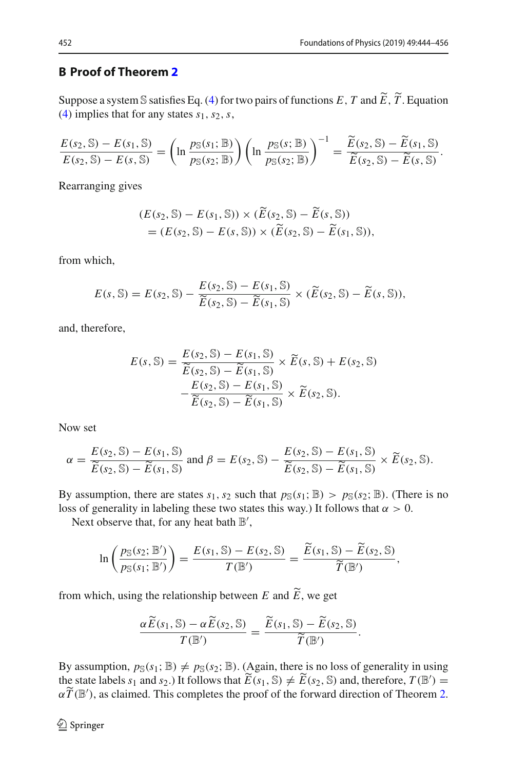#### **B Proof of Theorem [2](#page-4-0)**

Suppose a system S satisfies Eq. [\(4\)](#page-3-1) for two pairs of functions *E*, *T* and  $\widetilde{E}$ ,  $\widetilde{T}$ . Equation (4) implies that for any states see Section [\(4\)](#page-3-1) implies that for any states *s*1,*s*2,*s*,

$$
\frac{E(s_2, \mathbb{S}) - E(s_1, \mathbb{S})}{E(s_2, \mathbb{S}) - E(s, \mathbb{S})} = \left(\ln \frac{p_{\mathbb{S}}(s_1; \mathbb{B})}{p_{\mathbb{S}}(s_2; \mathbb{B})}\right) \left(\ln \frac{p_{\mathbb{S}}(s; \mathbb{B})}{p_{\mathbb{S}}(s_2; \mathbb{B})}\right)^{-1} = \frac{\widetilde{E}(s_2, \mathbb{S}) - \widetilde{E}(s_1, \mathbb{S})}{\widetilde{E}(s_2, \mathbb{S}) - \widetilde{E}(s, \mathbb{S})}.
$$

Rearranging gives

$$
(E(s_2, \mathbb{S}) - E(s_1, \mathbb{S})) \times (\widetilde{E}(s_2, \mathbb{S}) - \widetilde{E}(s, \mathbb{S}))
$$
  
= 
$$
(E(s_2, \mathbb{S}) - E(s, \mathbb{S})) \times (\widetilde{E}(s_2, \mathbb{S}) - \widetilde{E}(s_1, \mathbb{S})),
$$

from which,

$$
E(s,\mathbb{S})=E(s_2,\mathbb{S})-\frac{E(s_2,\mathbb{S})-E(s_1,\mathbb{S})}{\widetilde{E}(s_2,\mathbb{S})-\widetilde{E}(s_1,\mathbb{S})}\times(\widetilde{E}(s_2,\mathbb{S})-\widetilde{E}(s,\mathbb{S})),
$$

and, therefore,

$$
E(s, \mathbb{S}) = \frac{E(s_2, \mathbb{S}) - E(s_1, \mathbb{S})}{\widetilde{E}(s_2, \mathbb{S}) - \widetilde{E}(s_1, \mathbb{S})} \times \widetilde{E}(s, \mathbb{S}) + E(s_2, \mathbb{S}) - \frac{E(s_2, \mathbb{S}) - E(s_1, \mathbb{S})}{\widetilde{E}(s_2, \mathbb{S}) - \widetilde{E}(s_1, \mathbb{S})} \times \widetilde{E}(s_2, \mathbb{S}).
$$

Now set

$$
\alpha = \frac{E(s_2, \mathbb{S}) - E(s_1, \mathbb{S})}{\widetilde{E}(s_2, \mathbb{S}) - \widetilde{E}(s_1, \mathbb{S})} \text{ and } \beta = E(s_2, \mathbb{S}) - \frac{E(s_2, \mathbb{S}) - E(s_1, \mathbb{S})}{\widetilde{E}(s_2, \mathbb{S}) - \widetilde{E}(s_1, \mathbb{S})} \times \widetilde{E}(s_2, \mathbb{S}).
$$

By assumption, there are states  $s_1$ ,  $s_2$  such that  $p_S(s_1; \mathbb{B}) > p_S(s_2; \mathbb{B})$ . (There is no loss of generality in labeling these two states this way.) It follows that  $\alpha > 0$ .

Next observe that, for any heat bath  $\mathbb{B}'$ ,

$$
\ln\left(\frac{p_{\mathbb{S}}(s_2; \mathbb{B}')}{p_{\mathbb{S}}(s_1; \mathbb{B}')}\right) = \frac{E(s_1, \mathbb{S}) - E(s_2, \mathbb{S})}{T(\mathbb{B}')} = \frac{\widetilde{E}(s_1, \mathbb{S}) - \widetilde{E}(s_2, \mathbb{S})}{\widetilde{T}(\mathbb{B}')},
$$

from which, using the relationship between *E* and *E* , we get

$$
\frac{\alpha \widetilde{E}(s_1, \mathbb{S}) - \alpha \widetilde{E}(s_2, \mathbb{S})}{T(\mathbb{B}')} = \frac{\widetilde{E}(s_1, \mathbb{S}) - \widetilde{E}(s_2, \mathbb{S})}{\widetilde{T}(\mathbb{B}')}.
$$

By assumption,  $p_S(s_1; \mathbb{B}) \neq p_S(s_2; \mathbb{B})$ . (Again, there is no loss of generality in using the state labels  $s_1$  and  $s_2$ .) It follows that  $\widetilde{E}(s_1, \mathbb{S}) \neq \widetilde{E}(s_2, \mathbb{S})$  and, therefore,  $T(\mathbb{B}') = \widetilde{\pi}(\mathbb{B}')$  $\alpha \widetilde{T}(\mathbb{B}')$ , as claimed. This completes the proof of the forward direction of Theorem [2.](#page-4-0)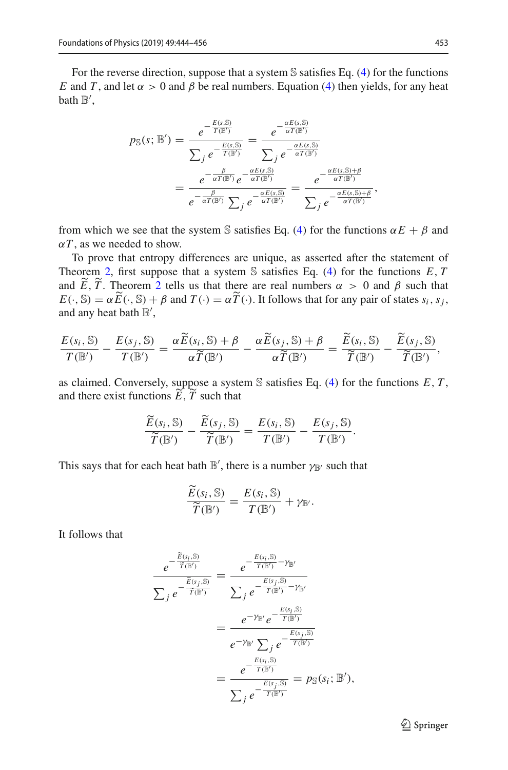For the reverse direction, suppose that a system  $\mathbb S$  satisfies Eq. [\(4\)](#page-3-1) for the functions *E* and *T*, and let  $\alpha > 0$  and  $\beta$  be real numbers. Equation [\(4\)](#page-3-1) then yields, for any heat bath  $\mathbb{B}',$ 

$$
p_{\mathbb{S}}(s; \mathbb{B}') = \frac{e^{-\frac{E(s, \mathbb{S})}{T(\mathbb{B}')}}}{\sum_{j} e^{-\frac{E(s, \mathbb{S})}{T(\mathbb{B}')}}} = \frac{e^{-\frac{\alpha E(s, \mathbb{S})}{\alpha T(\mathbb{B}')}}}{\sum_{j} e^{-\frac{\alpha E(s, \mathbb{S})}{\alpha T(\mathbb{B}')}}}
$$

$$
= \frac{e^{-\frac{\beta}{\alpha T(\mathbb{B}')}}e^{-\frac{\alpha E(s, \mathbb{S})}{\alpha T(\mathbb{B}')}}}{e^{-\frac{\beta}{\alpha T(\mathbb{B}')}}\sum_{j} e^{-\frac{\alpha E(s, \mathbb{S})}{\alpha T(\mathbb{B}')}}} = \frac{e^{-\frac{\alpha E(s, \mathbb{S}) + \beta}{\alpha T(\mathbb{B}')}}}{\sum_{j} e^{-\frac{\alpha E(s, \mathbb{S}) + \beta}{\alpha T(\mathbb{B}')}}},
$$

from which we see that the system S satisfies Eq. [\(4\)](#page-3-1) for the functions  $\alpha E + \beta$  and  $\alpha T$ , as we needed to show.

To prove that entropy differences are unique, as asserted after the statement of Theorem [2,](#page-4-0) first suppose that a system  $S$  satisfies Eq. [\(4\)](#page-3-1) for the functions  $E, T$ and *E*, *T*. Theorem [2](#page-4-0) tells us that there are real numbers  $\alpha > 0$  and  $\beta$  such that  $E(\cdot, \mathbb{S}) = \alpha \widetilde{E}(\cdot, \mathbb{S}) + \beta$  and  $T(\cdot) = \alpha \widetilde{T}(\cdot)$ . It follows that for any pair of states  $s_i, s_j$ , and any heat bath  $\mathbb{B}',$ 

$$
\frac{E(s_i, \mathbb{S})}{T(\mathbb{B}')} - \frac{E(s_j, \mathbb{S})}{T(\mathbb{B}')} = \frac{\alpha \widetilde{E}(s_i, \mathbb{S}) + \beta}{\alpha \widetilde{T}(\mathbb{B}')} - \frac{\alpha \widetilde{E}(s_j, \mathbb{S}) + \beta}{\alpha \widetilde{T}(\mathbb{B}')} = \frac{\widetilde{E}(s_i, \mathbb{S})}{\widetilde{T}(\mathbb{B}')} - \frac{\widetilde{E}(s_j, \mathbb{S})}{\widetilde{T}(\mathbb{B}')}.
$$

as claimed. Conversely, suppose a system  $\mathbb S$  satisfies Eq. [\(4\)](#page-3-1) for the functions  $E, T$ , and there exist functions  $E, T$  such that

$$
\frac{\widetilde{E}(s_i, \mathbb{S})}{\widetilde{T}(\mathbb{B}')} - \frac{\widetilde{E}(s_j, \mathbb{S})}{\widetilde{T}(\mathbb{B}')} = \frac{E(s_i, \mathbb{S})}{T(\mathbb{B}')} - \frac{E(s_j, \mathbb{S})}{T(\mathbb{B}')}.
$$

This says that for each heat bath  $\mathbb{B}'$ , there is a number  $\gamma_{\mathbb{B}'}$  such that

$$
\frac{\widetilde{E}(s_i, \mathbb{S})}{\widetilde{T}(\mathbb{B}')} = \frac{E(s_i, \mathbb{S})}{T(\mathbb{B}')} + \gamma_{\mathbb{B}}.
$$

It follows that

$$
\frac{e^{-\frac{\widetilde{E}(s_i, \widetilde{S})}{\widetilde{T}(\widetilde{B}')}}}{\sum_{j} e^{-\frac{\widetilde{E}(s_j, \widetilde{S})}{\widetilde{T}(\widetilde{B}')}}} = \frac{e^{-\frac{E(s_j, \widetilde{S})}{\widetilde{T}(\widetilde{B}')}}^{-\gamma_{\widetilde{B}'}}}{\sum_{j} e^{-\frac{E(s_j, \widetilde{S})}{\widetilde{T}(\widetilde{B}')}}^{-\gamma_{\widetilde{B}'}}}
$$
\n
$$
= \frac{e^{-\gamma_{\widetilde{B}'}} e^{-\frac{E(s_j, \widetilde{S})}{\widetilde{T}(\widetilde{B}')}}}{e^{-\gamma_{\widetilde{B}'}} \sum_{j} e^{-\frac{E(s_j, \widetilde{S})}{\widetilde{T}(\widetilde{B}')}}}
$$
\n
$$
= \frac{e^{-\frac{E(s_j, \widetilde{S})}{\widetilde{T}(\widetilde{B}')}}}{\sum_{j} e^{-\frac{E(s_j, \widetilde{S})}{\widetilde{T}(\widetilde{B}')}}} = p_{\widetilde{S}}(s_i; \widetilde{B}'),
$$

 $\mathcal{D}$  Springer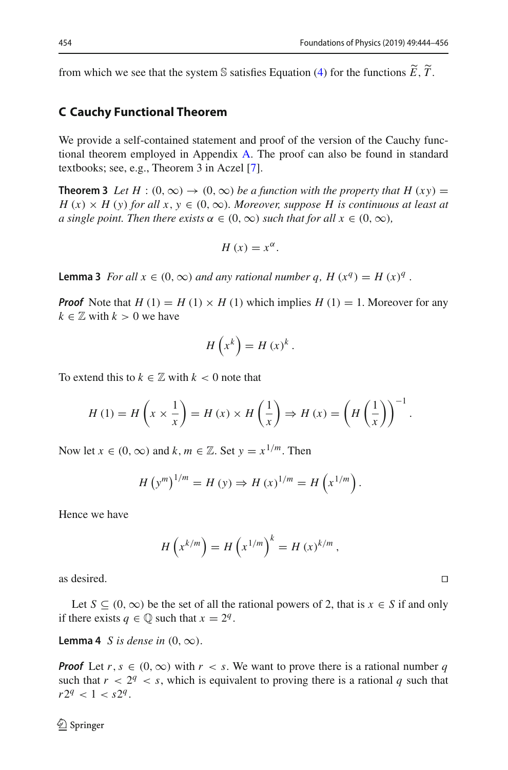from which we see that the system S satisfies Equation [\(4\)](#page-3-1) for the functions  $\widetilde{E}$ ,  $\widetilde{T}$ .

#### <span id="page-10-0"></span>**C Cauchy Functional Theorem**

We provide a self-contained statement and proof of the version of the Cauchy functional theorem employed in Appendix [A.](#page-5-3) The proof can also be found in standard textbooks; see, e.g., Theorem 3 in Aczel [\[7\]](#page-12-6).

**Theorem 3** *Let*  $H : (0, \infty) \to (0, \infty)$  *be a function with the property that*  $H(xy) =$  $H(x) \times H(y)$  *for all x, y* ∈ (0, ∞)*. Moreover, suppose H is continuous at least at a single point. Then there exists*  $\alpha \in (0, \infty)$  *such that for all*  $x \in (0, \infty)$ *,* 

$$
H\left( x\right) =x^{\alpha}.
$$

<span id="page-10-1"></span>**Lemma 3** *For all*  $x \in (0, \infty)$  *and any rational number q,*  $H(x^q) = H(x)^q$ .

*Proof* Note that  $H(1) = H(1) \times H(1)$  which implies  $H(1) = 1$ . Moreover for any  $k \in \mathbb{Z}$  with  $k > 0$  we have

$$
H\left(x^k\right) = H\left(x\right)^k.
$$

To extend this to  $k \in \mathbb{Z}$  with  $k < 0$  note that

$$
H(1) = H\left(x \times \frac{1}{x}\right) = H(x) \times H\left(\frac{1}{x}\right) \Rightarrow H(x) = \left(H\left(\frac{1}{x}\right)\right)^{-1}.
$$

Now let  $x \in (0, \infty)$  and  $k, m \in \mathbb{Z}$ . Set  $y = x^{1/m}$ . Then

$$
H (y^{m})^{1/m} = H (y) \Rightarrow H (x)^{1/m} = H (x^{1/m}).
$$

Hence we have

$$
H\left(x^{k/m}\right) = H\left(x^{1/m}\right)^k = H\left(x\right)^{k/m},
$$

as desired.  $\Box$ 

Let  $S \subseteq (0, \infty)$  be the set of all the rational powers of 2, that is  $x \in S$  if and only if there exists  $q \in \mathbb{Q}$  such that  $x = 2^q$ .

**Lemma 4** *S* is dense in  $(0, \infty)$ .

*Proof* Let  $r, s \in (0, \infty)$  with  $r < s$ . We want to prove there is a rational number q such that  $r < 2^q < s$ , which is equivalent to proving there is a rational q such that  $r2^q < 1 < s2^q$ .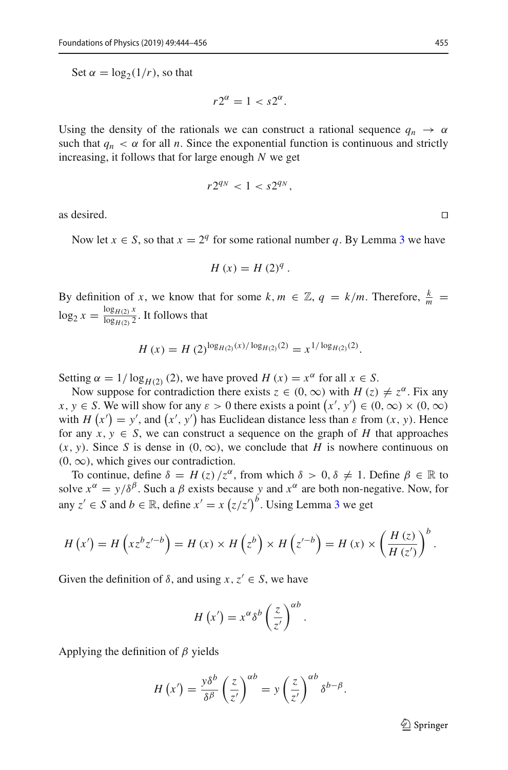Set  $\alpha = \log_2(1/r)$ , so that

$$
r2^{\alpha} = 1 < s2^{\alpha}.
$$

Using the density of the rationals we can construct a rational sequence  $q_n \to \alpha$ such that  $q_n < \alpha$  for all *n*. Since the exponential function is continuous and strictly increasing, it follows that for large enough *N* we get

$$
r2^{q_N} < 1 < s2^{q_N},
$$

as desired.  $\Box$ 

Now let  $x \in S$ , so that  $x = 2^q$  for some rational number q. By Lemma [3](#page-10-1) we have

$$
H\left(x\right) = H\left(2\right)^{q}.
$$

By definition of *x*, we know that for some  $k, m \in \mathbb{Z}, q = k/m$ . Therefore,  $\frac{k}{m} =$  $\log_2 x = \frac{\log_{H(2)} x}{\log_{H(2)} 2}$ . It follows that

$$
H(x) = H(2)^{\log_{H(2)}(x)/\log_{H(2)}(2)} = x^{1/\log_{H(2)}(2)}.
$$

Setting  $\alpha = 1/\log_{H(2)}(2)$ , we have proved  $H(x) = x^{\alpha}$  for all  $x \in S$ .

Now suppose for contradiction there exists  $z \in (0, \infty)$  with  $H(z) \neq z^{\alpha}$ . Fix any  $x, y \in S$ . We will show for any  $\varepsilon > 0$  there exists a point  $(x', y') \in (0, \infty) \times (0, \infty)$ with  $H(x') = y'$ , and  $(x', y')$  has Euclidean distance less than  $\varepsilon$  from  $(x, y)$ . Hence for any  $x, y \in S$ , we can construct a sequence on the graph of *H* that approaches  $(x, y)$ . Since *S* is dense in  $(0, \infty)$ , we conclude that *H* is nowhere continuous on  $(0, \infty)$ , which gives our contradiction.

To continue, define  $\delta = H(z)/z^{\alpha}$ , from which  $\delta > 0, \delta \neq 1$ . Define  $\beta \in \mathbb{R}$  to solve  $x^{\alpha} = y/\delta^{\beta}$ . Such a  $\beta$  exists because *y* and  $x^{\alpha}$  are both non-negative. Now, for any  $z' \in S$  and  $b \in \mathbb{R}$ , define  $x' = x (z/z')^b$ . Using Lemma [3](#page-10-1) we get

$$
H(x') = H\left(xz^{b}z'^{-b}\right) = H(x) \times H\left(z^{b}\right) \times H\left(z'^{-b}\right) = H(x) \times \left(\frac{H(z)}{H(z')}\right)^{b}.
$$

Given the definition of  $\delta$ , and using  $x, z' \in S$ , we have

$$
H\left(x'\right) = x^{\alpha} \delta^{b} \left(\frac{z}{z'}\right)^{\alpha b}.
$$

Applying the definition of  $\beta$  yields

$$
H(x') = \frac{y\delta^b}{\delta^{\beta}} \left(\frac{z}{z'}\right)^{\alpha b} = y \left(\frac{z}{z'}\right)^{\alpha b} \delta^{b-\beta}.
$$

 $\mathcal{D}$  Springer